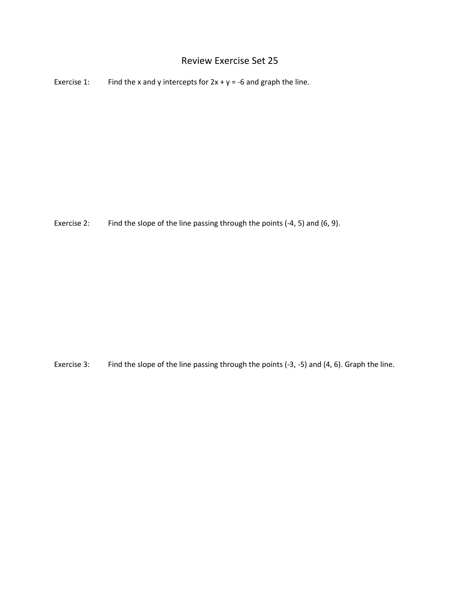## Review Exercise Set 25

Exercise 1: Find the x and y intercepts for  $2x + y = -6$  and graph the line.

Exercise 2: Find the slope of the line passing through the points (-4, 5) and (6, 9).

Exercise 3: Find the slope of the line passing through the points (-3, -5) and (4, 6). Graph the line.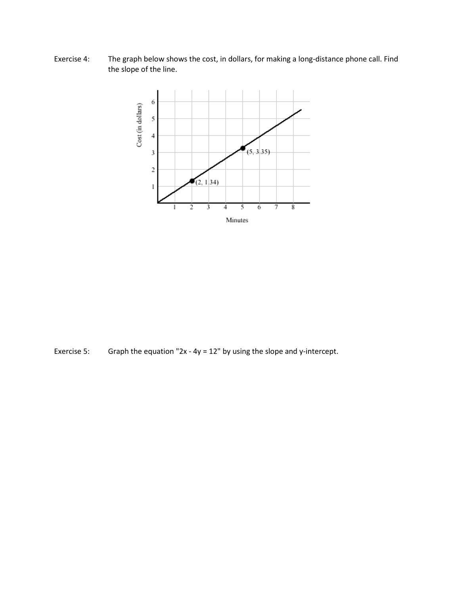Exercise 4: The graph below shows the cost, in dollars, for making a long-distance phone call. Find the slope of the line.



Exercise 5: Graph the equation "2x - 4y = 12" by using the slope and y-intercept.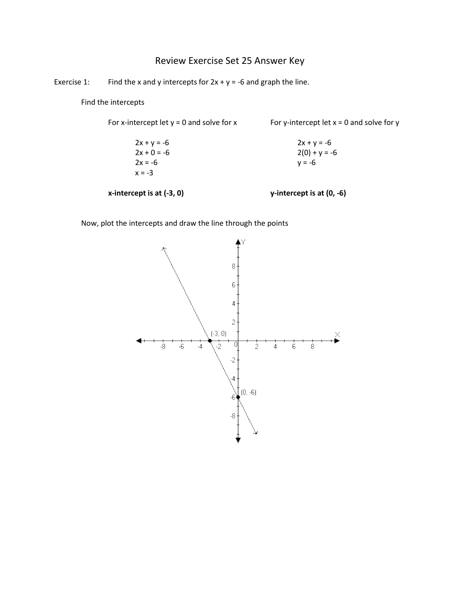## Review Exercise Set 25 Answer Key

Exercise 1: Find the x and y intercepts for  $2x + y = -6$  and graph the line.

Find the intercepts

For x-intercept let  $y = 0$  and solve for x For y-intercept let  $x = 0$  and solve for y

 $2x + y = -6$  2x + y = -6  $2x + 0 = -6$  2(0) + y = -6  $2x = -6$   $y = -6$  $x = -3$ 

## **x-intercept is at (-3, 0) y-intercept is at (0, -6)**

Now, plot the intercepts and draw the line through the points

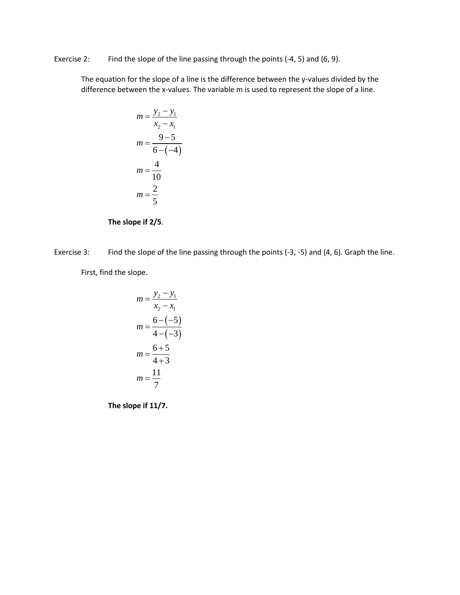Exercise 2: Find the slope of the line passing through the points (-4, 5) and (6, 9).

The equation for the slope of a line is the difference between the y-values divided by the difference between the x-values. The variable m is used to represent the slope of a line.

$$
m = \frac{y_2 - y_1}{x_2 - x_1}
$$

$$
m = \frac{9 - 5}{6 - (-4)}
$$

$$
m = \frac{4}{10}
$$

$$
m = \frac{2}{5}
$$



Exercise 3: Find the slope of the line passing through the points (-3, -5) and (4, 6). Graph the line.

First, find the slope.

$$
m = \frac{y_2 - y_1}{x_2 - x_1}
$$

$$
m = \frac{6 - (-5)}{4 - (-3)}
$$

$$
m = \frac{6 + 5}{4 + 3}
$$

$$
m = \frac{11}{7}
$$

**The slope if 11/7.**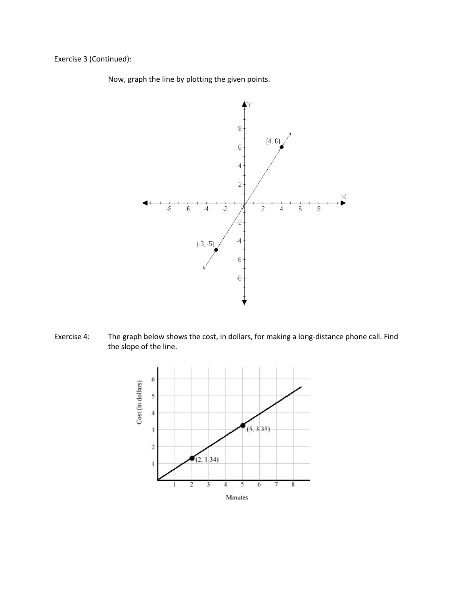Exercise 3 (Continued):

Now, graph the line by plotting the given points.



Exercise 4: The graph below shows the cost, in dollars, for making a long-distance phone call. Find the slope of the line.

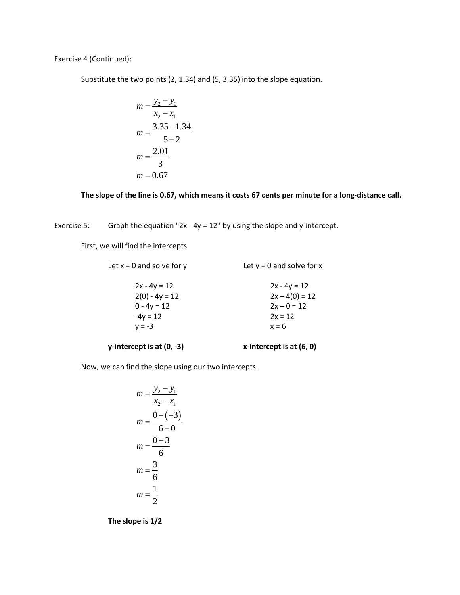Exercise 4 (Continued):

Substitute the two points (2, 1.34) and (5, 3.35) into the slope equation.

$$
m = \frac{y_2 - y_1}{x_2 - x_1}
$$
  
\n
$$
m = \frac{3.35 - 1.34}{5 - 2}
$$
  
\n
$$
m = \frac{2.01}{3}
$$
  
\n
$$
m = 0.67
$$

**The slope of the line is 0.67, which means it costs 67 cents per minute for a long-distance call.**

Exercise 5: Graph the equation "2x - 4y = 12" by using the slope and y-intercept.

First, we will find the intercepts

| Let $x = 0$ and solve for y | Let $y = 0$ and solve for x |
|-----------------------------|-----------------------------|
| $2x - 4y = 12$              | $2x - 4y = 12$              |
| $2(0) - 4y = 12$            | $2x - 4(0) = 12$            |
| $0 - 4y = 12$               | $2x - 0 = 12$               |
| $-4y = 12$                  | $2x = 12$                   |
| $v = -3$                    | $x = 6$                     |
|                             |                             |

**y-intercept is at (0, -3) x-intercept is at (6, 0)**

Now, we can find the slope using our two intercepts.

$$
m = \frac{y_2 - y_1}{x_2 - x_1}
$$
  
\n
$$
m = \frac{0 - (-3)}{6 - 0}
$$
  
\n
$$
m = \frac{0 + 3}{6}
$$
  
\n
$$
m = \frac{3}{6}
$$
  
\n
$$
m = \frac{1}{2}
$$

**The slope is 1/2**